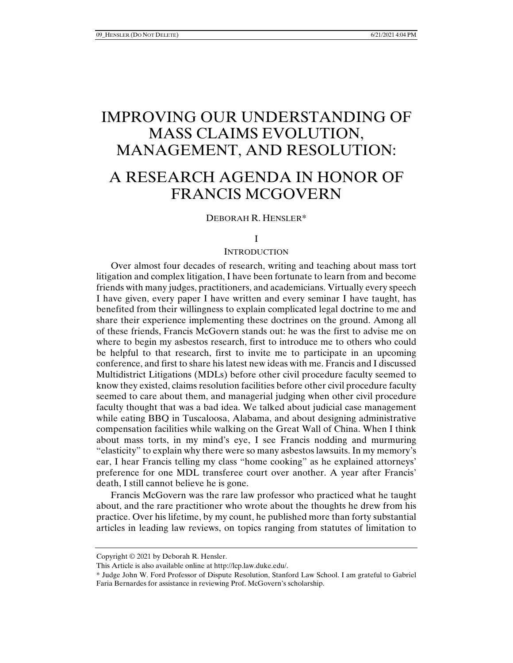# IMPROVING OUR UNDERSTANDING OF MASS CLAIMS EVOLUTION, MANAGEMENT, AND RESOLUTION:

# A RESEARCH AGENDA IN HONOR OF FRANCIS MCGOVERN

#### DEBORAH R. HENSLER\*

#### I

#### **INTRODUCTION**

Over almost four decades of research, writing and teaching about mass tort litigation and complex litigation, I have been fortunate to learn from and become friends with many judges, practitioners, and academicians. Virtually every speech I have given, every paper I have written and every seminar I have taught, has benefited from their willingness to explain complicated legal doctrine to me and share their experience implementing these doctrines on the ground. Among all of these friends, Francis McGovern stands out: he was the first to advise me on where to begin my asbestos research, first to introduce me to others who could be helpful to that research, first to invite me to participate in an upcoming conference, and first to share his latest new ideas with me. Francis and I discussed Multidistrict Litigations (MDLs) before other civil procedure faculty seemed to know they existed, claims resolution facilities before other civil procedure faculty seemed to care about them, and managerial judging when other civil procedure faculty thought that was a bad idea. We talked about judicial case management while eating BBQ in Tuscaloosa, Alabama, and about designing administrative compensation facilities while walking on the Great Wall of China. When I think about mass torts, in my mind's eye, I see Francis nodding and murmuring "elasticity" to explain why there were so many asbestos lawsuits. In my memory's ear, I hear Francis telling my class "home cooking" as he explained attorneys' preference for one MDL transferee court over another. A year after Francis' death, I still cannot believe he is gone.

Francis McGovern was the rare law professor who practiced what he taught about, and the rare practitioner who wrote about the thoughts he drew from his practice. Over his lifetime, by my count, he published more than forty substantial articles in leading law reviews, on topics ranging from statutes of limitation to

Copyright © 2021 by Deborah R. Hensler.

This Article is also available online at http://lcp.law.duke.edu/.

<sup>\*</sup> Judge John W. Ford Professor of Dispute Resolution, Stanford Law School. I am grateful to Gabriel Faria Bernardes for assistance in reviewing Prof. McGovern's scholarship.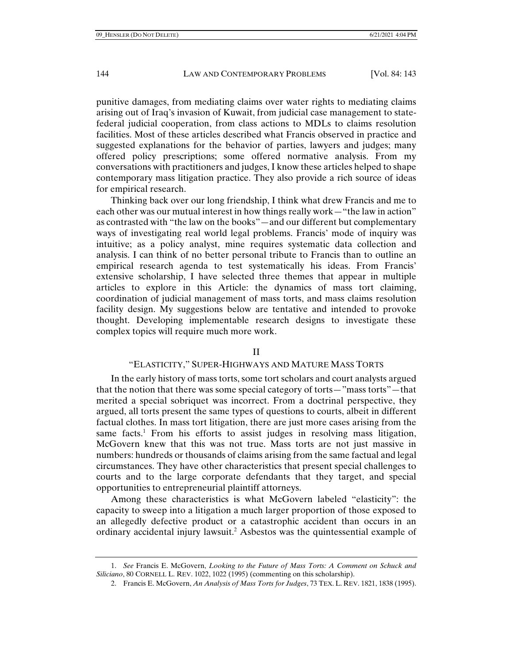punitive damages, from mediating claims over water rights to mediating claims arising out of Iraq's invasion of Kuwait, from judicial case management to statefederal judicial cooperation, from class actions to MDLs to claims resolution facilities. Most of these articles described what Francis observed in practice and suggested explanations for the behavior of parties, lawyers and judges; many offered policy prescriptions; some offered normative analysis. From my conversations with practitioners and judges, I know these articles helped to shape contemporary mass litigation practice. They also provide a rich source of ideas for empirical research.

Thinking back over our long friendship, I think what drew Francis and me to each other was our mutual interest in how things really work—"the law in action" as contrasted with "the law on the books"—and our different but complementary ways of investigating real world legal problems. Francis' mode of inquiry was intuitive; as a policy analyst, mine requires systematic data collection and analysis. I can think of no better personal tribute to Francis than to outline an empirical research agenda to test systematically his ideas. From Francis' extensive scholarship, I have selected three themes that appear in multiple articles to explore in this Article: the dynamics of mass tort claiming, coordination of judicial management of mass torts, and mass claims resolution facility design. My suggestions below are tentative and intended to provoke thought. Developing implementable research designs to investigate these complex topics will require much more work.

#### II

#### "ELASTICITY," SUPER-HIGHWAYS AND MATURE MASS TORTS

In the early history of mass torts, some tort scholars and court analysts argued that the notion that there was some special category of torts—"mass torts"—that merited a special sobriquet was incorrect. From a doctrinal perspective, they argued, all torts present the same types of questions to courts, albeit in different factual clothes. In mass tort litigation, there are just more cases arising from the same facts.<sup>1</sup> From his efforts to assist judges in resolving mass litigation, McGovern knew that this was not true. Mass torts are not just massive in numbers: hundreds or thousands of claims arising from the same factual and legal circumstances. They have other characteristics that present special challenges to courts and to the large corporate defendants that they target, and special opportunities to entrepreneurial plaintiff attorneys.

Among these characteristics is what McGovern labeled "elasticity": the capacity to sweep into a litigation a much larger proportion of those exposed to an allegedly defective product or a catastrophic accident than occurs in an ordinary accidental injury lawsuit.<sup>2</sup> Asbestos was the quintessential example of

 <sup>1.</sup> *See* Francis E. McGovern, *Looking to the Future of Mass Torts: A Comment on Schuck and Siliciano*, 80 CORNELL L. REV. 1022, 1022 (1995) (commenting on this scholarship).

 <sup>2.</sup> Francis E. McGovern, *An Analysis of Mass Torts for Judges*, 73 TEX. L. REV. 1821, 1838 (1995).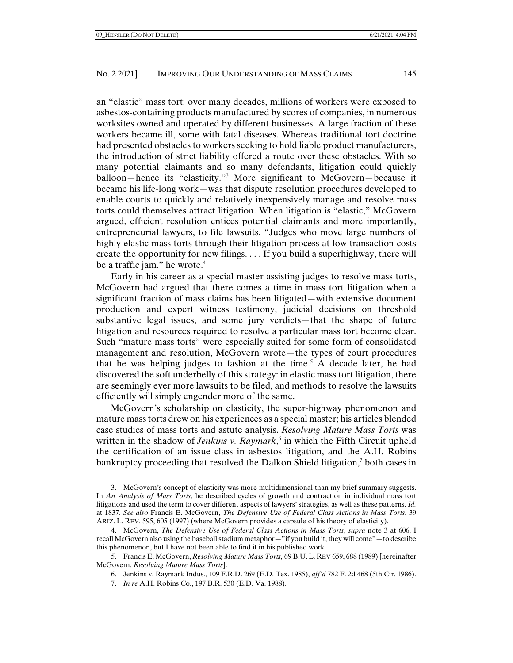an "elastic" mass tort: over many decades, millions of workers were exposed to asbestos-containing products manufactured by scores of companies, in numerous worksites owned and operated by different businesses. A large fraction of these workers became ill, some with fatal diseases. Whereas traditional tort doctrine had presented obstacles to workers seeking to hold liable product manufacturers, the introduction of strict liability offered a route over these obstacles. With so many potential claimants and so many defendants, litigation could quickly balloon—hence its "elasticity."3 More significant to McGovern—because it became his life-long work—was that dispute resolution procedures developed to enable courts to quickly and relatively inexpensively manage and resolve mass torts could themselves attract litigation. When litigation is "elastic," McGovern argued, efficient resolution entices potential claimants and more importantly, entrepreneurial lawyers, to file lawsuits. "Judges who move large numbers of highly elastic mass torts through their litigation process at low transaction costs create the opportunity for new filings. . . . If you build a superhighway, there will be a traffic jam." he wrote.<sup>4</sup>

Early in his career as a special master assisting judges to resolve mass torts, McGovern had argued that there comes a time in mass tort litigation when a significant fraction of mass claims has been litigated—with extensive document production and expert witness testimony, judicial decisions on threshold substantive legal issues, and some jury verdicts—that the shape of future litigation and resources required to resolve a particular mass tort become clear. Such "mature mass torts" were especially suited for some form of consolidated management and resolution, McGovern wrote—the types of court procedures that he was helping judges to fashion at the time.<sup>5</sup> A decade later, he had discovered the soft underbelly of this strategy: in elastic mass tort litigation, there are seemingly ever more lawsuits to be filed, and methods to resolve the lawsuits efficiently will simply engender more of the same.

McGovern's scholarship on elasticity, the super-highway phenomenon and mature mass torts drew on his experiences as a special master; his articles blended case studies of mass torts and astute analysis. *Resolving Mature Mass Torts* was written in the shadow of *Jenkins v. Raymark*,<sup>6</sup> in which the Fifth Circuit upheld the certification of an issue class in asbestos litigation, and the A.H. Robins bankruptcy proceeding that resolved the Dalkon Shield litigation,<sup>7</sup> both cases in

 <sup>3.</sup> McGovern's concept of elasticity was more multidimensional than my brief summary suggests. In *An Analysis of Mass Torts*, he described cycles of growth and contraction in individual mass tort litigations and used the term to cover different aspects of lawyers' strategies, as well as these patterns. *Id.* at 1837. *See also* Francis E. McGovern, *The Defensive Use of Federal Class Actions in Mass Torts*, 39 ARIZ. L. REV. 595, 605 (1997) (where McGovern provides a capsule of his theory of elasticity).

 <sup>4.</sup> McGovern, *The Defensive Use of Federal Class Actions in Mass Torts*, *supra* note 3 at 606. I recall McGovern also using the baseball stadium metaphor—"if you build it, they will come"—to describe this phenomenon, but I have not been able to find it in his published work.

 <sup>5.</sup> Francis E. McGovern, *Resolving Mature Mass Torts,* 69 B.U.L. REV 659, 688 (1989) [hereinafter McGovern, *Resolving Mature Mass Torts*].

 <sup>6.</sup> Jenkins v. Raymark Indus., 109 F.R.D. 269 (E.D. Tex. 1985), *aff'd* 782 F. 2d 468 (5th Cir. 1986).

 <sup>7.</sup> *In re* A.H. Robins Co., 197 B.R. 530 (E.D. Va. 1988).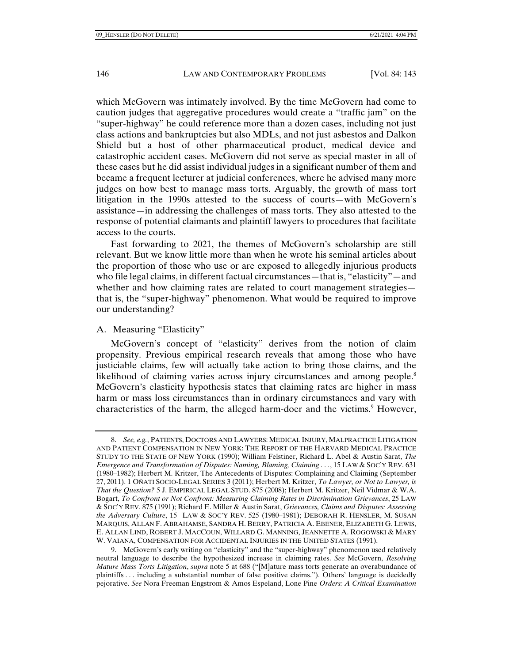which McGovern was intimately involved. By the time McGovern had come to caution judges that aggregative procedures would create a "traffic jam" on the "super-highway" he could reference more than a dozen cases, including not just class actions and bankruptcies but also MDLs, and not just asbestos and Dalkon Shield but a host of other pharmaceutical product, medical device and catastrophic accident cases. McGovern did not serve as special master in all of these cases but he did assist individual judges in a significant number of them and became a frequent lecturer at judicial conferences, where he advised many more judges on how best to manage mass torts. Arguably, the growth of mass tort litigation in the 1990s attested to the success of courts—with McGovern's assistance—in addressing the challenges of mass torts. They also attested to the response of potential claimants and plaintiff lawyers to procedures that facilitate access to the courts.

Fast forwarding to 2021, the themes of McGovern's scholarship are still relevant. But we know little more than when he wrote his seminal articles about the proportion of those who use or are exposed to allegedly injurious products who file legal claims, in different factual circumstances—that is, "elasticity"—and whether and how claiming rates are related to court management strategies that is, the "super-highway" phenomenon. What would be required to improve our understanding?

### A. Measuring "Elasticity"

McGovern's concept of "elasticity" derives from the notion of claim propensity. Previous empirical research reveals that among those who have justiciable claims, few will actually take action to bring those claims, and the likelihood of claiming varies across injury circumstances and among people.<sup>8</sup> McGovern's elasticity hypothesis states that claiming rates are higher in mass harm or mass loss circumstances than in ordinary circumstances and vary with characteristics of the harm, the alleged harm-doer and the victims.<sup>9</sup> However,

 <sup>8.</sup> *See, e.g.*, PATIENTS, DOCTORS AND LAWYERS: MEDICAL INJURY, MALPRACTICE LITIGATION AND PATIENT COMPENSATION IN NEW YORK: THE REPORT OF THE HARVARD MEDICAL PRACTICE STUDY TO THE STATE OF NEW YORK (1990); William Felstiner, Richard L. Abel & Austin Sarat, *The Emergence and Transformation of Disputes: Naming, Blaming, Claiming . . .*, 15 LAW & SOC'Y REV. 631 (1980–1982); Herbert M. Kritzer, The Antecedents of Disputes: Complaining and Claiming (September 27, 2011). 1 OÑATI SOCIO-LEGAL SERIES 3 (2011); Herbert M. Kritzer, *To Lawyer, or Not to Lawyer, is That the Question?* 5 J. EMPIRICAL LEGAL STUD. 875 (2008); Herbert M. Kritzer, Neil Vidmar & W.A. Bogart, *To Confront or Not Confront: Measuring Claiming Rates in Discrimination Grievances*, 25 LAW & SOC'Y REV. 875 (1991); Richard E. Miller & Austin Sarat, *Grievances, Claims and Disputes: Assessing the Adversary Culture*, 15 LAW & SOC'Y REV. 525 (1980–1981); DEBORAH R. HENSLER, M. SUSAN MARQUIS, ALLAN F. ABRAHAMSE, SANDRA H. BERRY, PATRICIA A. EBENER, ELIZABETH G. LEWIS, E. ALLAN LIND, ROBERT J. MACCOUN, WILLARD G. MANNING, JEANNETTE A. ROGOWSKI & MARY W. VAIANA, COMPENSATION FOR ACCIDENTAL INJURIES IN THE UNITED STATES (1991).

 <sup>9.</sup> McGovern's early writing on "elasticity" and the "super-highway" phenomenon used relatively neutral language to describe the hypothesized increase in claiming rates. *See* McGovern, *Resolving Mature Mass Torts Litigation*, *supra* note 5 at 688 ("[M]ature mass torts generate an overabundance of plaintiffs . . . including a substantial number of false positive claims."). Others' language is decidedly pejorative. *See* Nora Freeman Engstrom & Amos Espeland, Lone Pine *Orders: A Critical Examination*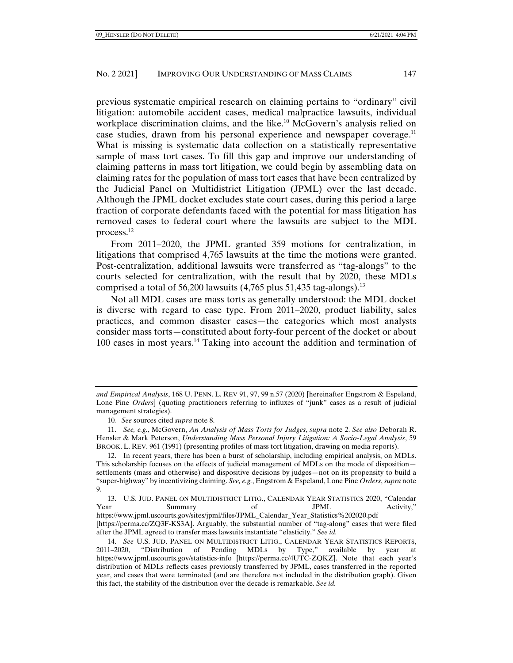previous systematic empirical research on claiming pertains to "ordinary" civil litigation: automobile accident cases, medical malpractice lawsuits, individual workplace discrimination claims, and the like.<sup>10</sup> McGovern's analysis relied on case studies, drawn from his personal experience and newspaper coverage.11 What is missing is systematic data collection on a statistically representative sample of mass tort cases. To fill this gap and improve our understanding of claiming patterns in mass tort litigation, we could begin by assembling data on claiming rates for the population of mass tort cases that have been centralized by the Judicial Panel on Multidistrict Litigation (JPML) over the last decade. Although the JPML docket excludes state court cases, during this period a large fraction of corporate defendants faced with the potential for mass litigation has removed cases to federal court where the lawsuits are subject to the MDL process.12

From 2011–2020, the JPML granted 359 motions for centralization, in litigations that comprised 4,765 lawsuits at the time the motions were granted. Post-centralization, additional lawsuits were transferred as "tag-alongs" to the courts selected for centralization, with the result that by 2020, these MDLs comprised a total of 56,200 lawsuits  $(4,765$  plus 51,435 tag-alongs).<sup>13</sup>

Not all MDL cases are mass torts as generally understood: the MDL docket is diverse with regard to case type. From 2011–2020, product liability, sales practices, and common disaster cases—the categories which most analysts consider mass torts—constituted about forty-four percent of the docket or about 100 cases in most years.14 Taking into account the addition and termination of

*and Empirical Analysis*, 168 U. PENN. L. REV 91, 97, 99 n.57 (2020) [hereinafter Engstrom & Espeland, Lone Pine *Orders*] (quoting practitioners referring to influxes of "junk" cases as a result of judicial management strategies).

<sup>10</sup>*. See* sources cited *supra* note 8.

 <sup>11.</sup> *See, e.g.*, McGovern, *An Analysis of Mass Torts for Judges*, *supra* note 2. *See also* Deborah R. Hensler & Mark Peterson, *Understanding Mass Personal Injury Litigation: A Socio-Legal Analysis*, 59 BROOK. L. REV. 961 (1991) (presenting profiles of mass tort litigation, drawing on media reports).

 <sup>12.</sup> In recent years, there has been a burst of scholarship, including empirical analysis, on MDLs. This scholarship focuses on the effects of judicial management of MDLs on the mode of disposition settlements (mass and otherwise) and dispositive decisions by judges—not on its propensity to build a "super-highway" by incentivizing claiming. *See, e.g.*, Engstrom & Espeland, Lone Pine *Orders*, *supra* note 9.

 <sup>13.</sup> U.S. JUD. PANEL ON MULTIDISTRICT LITIG., CALENDAR YEAR STATISTICS 2020, "Calendar Year Summary of JPML Activity," https://www.jpml.uscourts.gov/sites/jpml/files/JPML\_Calendar\_Year\_Statistics%202020.pdf

<sup>[</sup>https://perma.cc/ZQ3F-KS3A]. Arguably, the substantial number of "tag-along" cases that were filed after the JPML agreed to transfer mass lawsuits instantiate "elasticity." *See id.* 

 <sup>14.</sup> *See* U.S. JUD. PANEL ON MULTIDISTRICT LITIG., CALENDAR YEAR STATISTICS REPORTS, "Distribution of Pending MDLs by Type," available by year at https://www.jpml.uscourts.gov/statistics-info [https://perma.cc/4UTC-ZQKZ]. Note that each year's distribution of MDLs reflects cases previously transferred by JPML, cases transferred in the reported year, and cases that were terminated (and are therefore not included in the distribution graph). Given this fact, the stability of the distribution over the decade is remarkable. *See id.*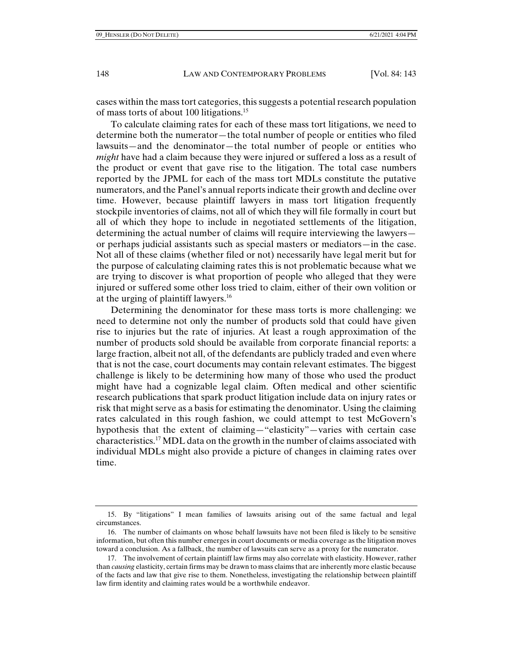cases within the mass tort categories, this suggests a potential research population of mass torts of about 100 litigations.15

To calculate claiming rates for each of these mass tort litigations, we need to determine both the numerator—the total number of people or entities who filed lawsuits—and the denominator—the total number of people or entities who *might* have had a claim because they were injured or suffered a loss as a result of the product or event that gave rise to the litigation. The total case numbers reported by the JPML for each of the mass tort MDLs constitute the putative numerators, and the Panel's annual reports indicate their growth and decline over time. However, because plaintiff lawyers in mass tort litigation frequently stockpile inventories of claims, not all of which they will file formally in court but all of which they hope to include in negotiated settlements of the litigation, determining the actual number of claims will require interviewing the lawyers or perhaps judicial assistants such as special masters or mediators—in the case. Not all of these claims (whether filed or not) necessarily have legal merit but for the purpose of calculating claiming rates this is not problematic because what we are trying to discover is what proportion of people who alleged that they were injured or suffered some other loss tried to claim, either of their own volition or at the urging of plaintiff lawyers.<sup>16</sup>

Determining the denominator for these mass torts is more challenging: we need to determine not only the number of products sold that could have given rise to injuries but the rate of injuries. At least a rough approximation of the number of products sold should be available from corporate financial reports: a large fraction, albeit not all, of the defendants are publicly traded and even where that is not the case, court documents may contain relevant estimates. The biggest challenge is likely to be determining how many of those who used the product might have had a cognizable legal claim. Often medical and other scientific research publications that spark product litigation include data on injury rates or risk that might serve as a basis for estimating the denominator. Using the claiming rates calculated in this rough fashion, we could attempt to test McGovern's hypothesis that the extent of claiming—"elasticity"—varies with certain case characteristics.17 MDL data on the growth in the number of claims associated with individual MDLs might also provide a picture of changes in claiming rates over time.

 <sup>15.</sup> By "litigations" I mean families of lawsuits arising out of the same factual and legal circumstances.

 <sup>16.</sup> The number of claimants on whose behalf lawsuits have not been filed is likely to be sensitive information, but often this number emerges in court documents or media coverage as the litigation moves toward a conclusion. As a fallback, the number of lawsuits can serve as a proxy for the numerator.

 <sup>17.</sup> The involvement of certain plaintiff law firms may also correlate with elasticity. However, rather than *causing* elasticity, certain firms may be drawn to mass claims that are inherently more elastic because of the facts and law that give rise to them. Nonetheless, investigating the relationship between plaintiff law firm identity and claiming rates would be a worthwhile endeavor.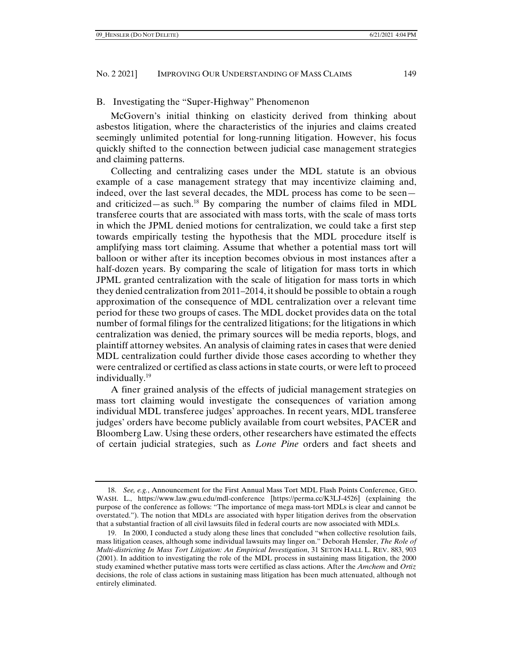### B. Investigating the "Super-Highway" Phenomenon

McGovern's initial thinking on elasticity derived from thinking about asbestos litigation, where the characteristics of the injuries and claims created seemingly unlimited potential for long-running litigation. However, his focus quickly shifted to the connection between judicial case management strategies and claiming patterns.

Collecting and centralizing cases under the MDL statute is an obvious example of a case management strategy that may incentivize claiming and, indeed, over the last several decades, the MDL process has come to be seen and criticized—as such. $^{18}$  By comparing the number of claims filed in MDL transferee courts that are associated with mass torts, with the scale of mass torts in which the JPML denied motions for centralization, we could take a first step towards empirically testing the hypothesis that the MDL procedure itself is amplifying mass tort claiming. Assume that whether a potential mass tort will balloon or wither after its inception becomes obvious in most instances after a half-dozen years. By comparing the scale of litigation for mass torts in which JPML granted centralization with the scale of litigation for mass torts in which they denied centralization from 2011–2014, it should be possible to obtain a rough approximation of the consequence of MDL centralization over a relevant time period for these two groups of cases. The MDL docket provides data on the total number of formal filings for the centralized litigations; for the litigations in which centralization was denied, the primary sources will be media reports, blogs, and plaintiff attorney websites. An analysis of claiming rates in cases that were denied MDL centralization could further divide those cases according to whether they were centralized or certified as class actions in state courts, or were left to proceed individually.19

A finer grained analysis of the effects of judicial management strategies on mass tort claiming would investigate the consequences of variation among individual MDL transferee judges' approaches. In recent years, MDL transferee judges' orders have become publicly available from court websites, PACER and Bloomberg Law. Using these orders, other researchers have estimated the effects of certain judicial strategies, such as *Lone Pine* orders and fact sheets and

 <sup>18.</sup> *See, e.g.*, Announcement for the First Annual Mass Tort MDL Flash Points Conference, GEO. WASH. L., https://www.law.gwu.edu/mdl-conference [https://perma.cc/K3LJ-4526] (explaining the purpose of the conference as follows: "The importance of mega mass-tort MDLs is clear and cannot be overstated."). The notion that MDLs are associated with hyper litigation derives from the observation that a substantial fraction of all civil lawsuits filed in federal courts are now associated with MDLs.

 <sup>19.</sup> In 2000, I conducted a study along these lines that concluded "when collective resolution fails, mass litigation ceases, although some individual lawsuits may linger on." Deborah Hensler, *The Role of Multi-districting In Mass Tort Litigation: An Empirical Investigation*, 31 SETON HALL L. REV. 883, 903 (2001). In addition to investigating the role of the MDL process in sustaining mass litigation, the 2000 study examined whether putative mass torts were certified as class actions. After the *Amchem* and *Ortiz*  decisions, the role of class actions in sustaining mass litigation has been much attenuated, although not entirely eliminated.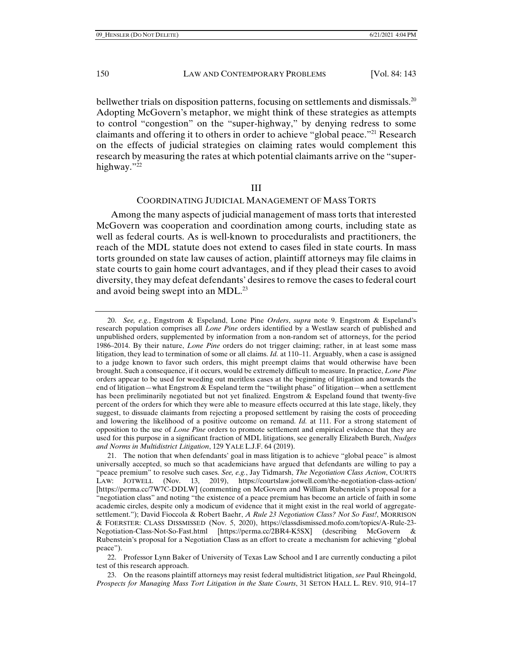bellwether trials on disposition patterns, focusing on settlements and dismissals.<sup>20</sup> Adopting McGovern's metaphor, we might think of these strategies as attempts to control "congestion" on the "super-highway," by denying redress to some claimants and offering it to others in order to achieve "global peace."<sup>21</sup> Research on the effects of judicial strategies on claiming rates would complement this research by measuring the rates at which potential claimants arrive on the "superhighway."22

#### III

## COORDINATING JUDICIAL MANAGEMENT OF MASS TORTS

Among the many aspects of judicial management of mass torts that interested McGovern was cooperation and coordination among courts, including state as well as federal courts. As is well-known to proceduralists and practitioners, the reach of the MDL statute does not extend to cases filed in state courts. In mass torts grounded on state law causes of action, plaintiff attorneys may file claims in state courts to gain home court advantages, and if they plead their cases to avoid diversity, they may defeat defendants' desires to remove the cases to federal court and avoid being swept into an MDL.<sup>23</sup>

 <sup>20.</sup> *See, e.g.*, Engstrom & Espeland, Lone Pine *Orders*, *supra* note 9. Engstrom & Espeland's research population comprises all *Lone Pine* orders identified by a Westlaw search of published and unpublished orders, supplemented by information from a non-random set of attorneys, for the period 1986–2014. By their nature, *Lone Pine* orders do not trigger claiming; rather, in at least some mass litigation, they lead to termination of some or all claims. *Id.* at 110–11. Arguably, when a case is assigned to a judge known to favor such orders, this might preempt claims that would otherwise have been brought. Such a consequence, if it occurs, would be extremely difficult to measure. In practice, *Lone Pine* orders appear to be used for weeding out meritless cases at the beginning of litigation and towards the end of litigation—what Engstrom & Espeland term the "twilight phase" of litigation—when a settlement has been preliminarily negotiated but not yet finalized. Engstrom & Espeland found that twenty-five percent of the orders for which they were able to measure effects occurred at this late stage, likely, they suggest, to dissuade claimants from rejecting a proposed settlement by raising the costs of proceeding and lowering the likelihood of a positive outcome on remand. *Id.* at 111. For a strong statement of opposition to the use of *Lone Pine* orders to promote settlement and empirical evidence that they are used for this purpose in a significant fraction of MDL litigations, see generally Elizabeth Burch, *Nudges and Norms in Multidistrict Litigation*, 129 YALE L.J.F. 64 (2019).

 <sup>21.</sup> The notion that when defendants' goal in mass litigation is to achieve "global peace" is almost universally accepted, so much so that academicians have argued that defendants are willing to pay a "peace premium" to resolve such cases. *See, e.g.*, Jay Tidmarsh, *The Negotiation Class Action*, COURTS LAW: JOTWELL (Nov. 13, 2019), https://courtslaw.jotwell.com/the-negotiation-class-action/ [https://perma.cc/7W7C-DDLW] (commenting on McGovern and William Rubenstein's proposal for a "negotiation class" and noting "the existence of a peace premium has become an article of faith in some academic circles, despite only a modicum of evidence that it might exist in the real world of aggregatesettlement."); David Fioccola & Robert Baehr, *A Rule 23 Negotiation Class? Not So Fast!*, MORRISON & FOERSTER: CLASS DISSMISSED (Nov. 5, 2020), https://classdismissed.mofo.com/topics/A-Rule-23- Negotiation-Class-Not-So-Fast.html [https://perma.cc/2BR4-K5SX] (describing McGovern & Rubenstein's proposal for a Negotiation Class as an effort to create a mechanism for achieving "global peace").

 <sup>22.</sup> Professor Lynn Baker of University of Texas Law School and I are currently conducting a pilot test of this research approach.

 <sup>23.</sup> On the reasons plaintiff attorneys may resist federal multidistrict litigation, *see* Paul Rheingold, *Prospects for Managing Mass Tort Litigation in the State Courts*, 31 SETON HALL L. REV. 910, 914–17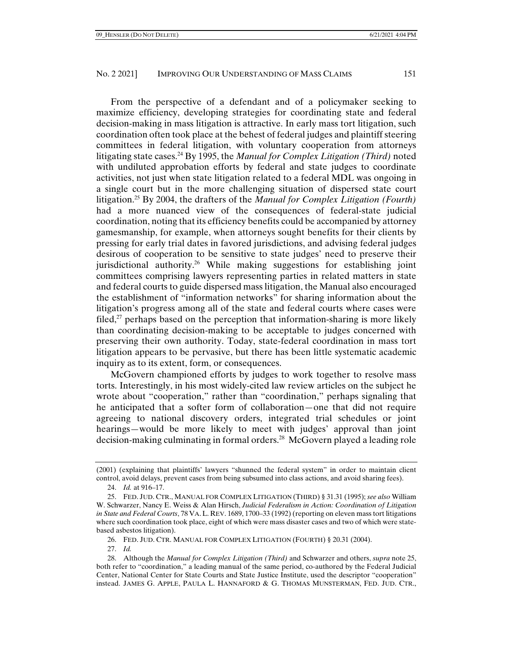From the perspective of a defendant and of a policymaker seeking to maximize efficiency, developing strategies for coordinating state and federal decision-making in mass litigation is attractive. In early mass tort litigation, such coordination often took place at the behest of federal judges and plaintiff steering committees in federal litigation, with voluntary cooperation from attorneys litigating state cases.24 By 1995, the *Manual for Complex Litigation (Third)* noted with undiluted approbation efforts by federal and state judges to coordinate activities, not just when state litigation related to a federal MDL was ongoing in a single court but in the more challenging situation of dispersed state court litigation.25 By 2004, the drafters of the *Manual for Complex Litigation (Fourth)* had a more nuanced view of the consequences of federal-state judicial coordination, noting that its efficiency benefits could be accompanied by attorney gamesmanship, for example, when attorneys sought benefits for their clients by pressing for early trial dates in favored jurisdictions, and advising federal judges desirous of cooperation to be sensitive to state judges' need to preserve their jurisdictional authority.26 While making suggestions for establishing joint committees comprising lawyers representing parties in related matters in state and federal courts to guide dispersed mass litigation, the Manual also encouraged the establishment of "information networks" for sharing information about the litigation's progress among all of the state and federal courts where cases were filed,<sup>27</sup> perhaps based on the perception that information-sharing is more likely than coordinating decision-making to be acceptable to judges concerned with preserving their own authority. Today, state-federal coordination in mass tort litigation appears to be pervasive, but there has been little systematic academic inquiry as to its extent, form, or consequences.

McGovern championed efforts by judges to work together to resolve mass torts. Interestingly, in his most widely-cited law review articles on the subject he wrote about "cooperation," rather than "coordination," perhaps signaling that he anticipated that a softer form of collaboration—one that did not require agreeing to national discovery orders, integrated trial schedules or joint hearings—would be more likely to meet with judges' approval than joint decision-making culminating in formal orders.28 McGovern played a leading role

27. *Id.*

<sup>(2001) (</sup>explaining that plaintiffs' lawyers "shunned the federal system" in order to maintain client control, avoid delays, prevent cases from being subsumed into class actions, and avoid sharing fees).

 <sup>24.</sup> *Id.* at 916–17.

 <sup>25.</sup> FED. JUD. CTR., MANUAL FOR COMPLEX LITIGATION (THIRD) § 31.31 (1995); *see also* William W. Schwarzer, Nancy E. Weiss & Alan Hirsch, *Judicial Federalism in Action: Coordination of Litigation in State and Federal Courts*, 78 VA.L. REV. 1689, 1700–33 (1992) (reporting on eleven mass tort litigations where such coordination took place, eight of which were mass disaster cases and two of which were statebased asbestos litigation).

 <sup>26.</sup> FED. JUD. CTR. MANUAL FOR COMPLEX LITIGATION (FOURTH) § 20.31 (2004).

 <sup>28.</sup> Although the *Manual for Complex Litigation (Third)* and Schwarzer and others, *supra* note 25, both refer to "coordination," a leading manual of the same period, co-authored by the Federal Judicial Center, National Center for State Courts and State Justice Institute, used the descriptor "cooperation" instead. JAMES G. APPLE, PAULA L. HANNAFORD & G. THOMAS MUNSTERMAN, FED. JUD. CTR.,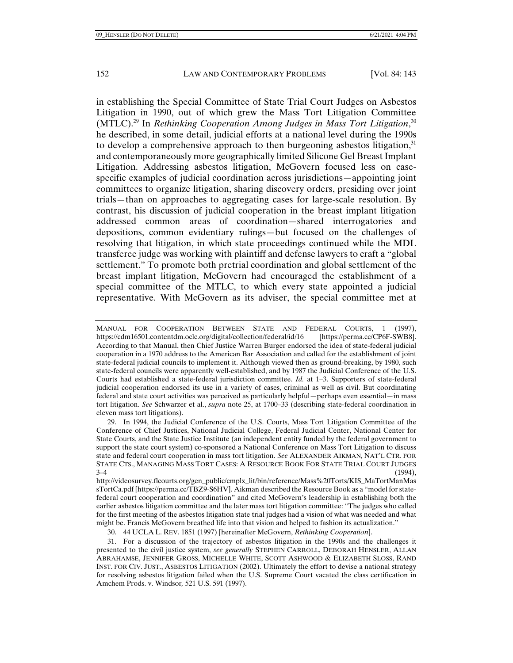in establishing the Special Committee of State Trial Court Judges on Asbestos Litigation in 1990, out of which grew the Mass Tort Litigation Committee (MTLC).<sup>29</sup> In *Rethinking Cooperation Among Judges in Mass Tort Litigation*,<sup>30</sup> he described, in some detail, judicial efforts at a national level during the 1990s to develop a comprehensive approach to then burgeoning asbestos litigation,  $31$ and contemporaneously more geographically limited Silicone Gel Breast Implant Litigation. Addressing asbestos litigation, McGovern focused less on casespecific examples of judicial coordination across jurisdictions—appointing joint committees to organize litigation, sharing discovery orders, presiding over joint trials—than on approaches to aggregating cases for large-scale resolution. By contrast, his discussion of judicial cooperation in the breast implant litigation addressed common areas of coordination—shared interrogatories and depositions, common evidentiary rulings—but focused on the challenges of resolving that litigation, in which state proceedings continued while the MDL transferee judge was working with plaintiff and defense lawyers to craft a "global settlement." To promote both pretrial coordination and global settlement of the breast implant litigation, McGovern had encouraged the establishment of a special committee of the MTLC, to which every state appointed a judicial representative. With McGovern as its adviser, the special committee met at

 29. In 1994, the Judicial Conference of the U.S. Courts, Mass Tort Litigation Committee of the Conference of Chief Justices, National Judicial College, Federal Judicial Center, National Center for State Courts, and the State Justice Institute (an independent entity funded by the federal government to support the state court system) co-sponsored a National Conference on Mass Tort Litigation to discuss state and federal court cooperation in mass tort litigation. *See* ALEXANDER AIKMAN*,* NAT'L CTR. FOR STATE CTS., MANAGING MASS TORT CASES: A RESOURCE BOOK FOR STATE TRIAL COURT JUDGES  $3-4$  (1994),

http://videosurvey.flcourts.org/gen\_public/cmplx\_lit/bin/reference/Mass%20Torts/KIS\_MaTortManMas sTortCa.pdf [https://perma.cc/TBZ9-S6HV]. Aikman described the Resource Book as a "model for statefederal court cooperation and coordination" and cited McGovern's leadership in establishing both the earlier asbestos litigation committee and the later mass tort litigation committee: "The judges who called for the first meeting of the asbestos litigation state trial judges had a vision of what was needed and what might be. Francis McGovern breathed life into that vision and helped to fashion its actualization."

30. 44 UCLA L. REV. 1851 (1997) [hereinafter McGovern, *Rethinking Cooperation*].

 31. For a discussion of the trajectory of asbestos litigation in the 1990s and the challenges it presented to the civil justice system, *see generally* STEPHEN CARROLL, DEBORAH HENSLER, ALLAN ABRAHAMSE, JENNIFER GROSS, MICHELLE WHITE, SCOTT ASHWOOD & ELIZABETH SLOSS, RAND INST. FOR CIV. JUST., ASBESTOS LITIGATION (2002). Ultimately the effort to devise a national strategy for resolving asbestos litigation failed when the U.S. Supreme Court vacated the class certification in Amchem Prods. v. Windsor*,* 521 U.S. 591 (1997).

MANUAL FOR COOPERATION BETWEEN STATE AND FEDERAL COURTS, 1 (1997),<br>https://cdm16501.contentdm.oclc.org/digital/collection/federal/id/16 [https://perma.cc/CP6F-SWB8]. https://cdm16501.contentdm.oclc.org/digital/collection/federal/id/16 According to that Manual, then Chief Justice Warren Burger endorsed the idea of state-federal judicial cooperation in a 1970 address to the American Bar Association and called for the establishment of joint state-federal judicial councils to implement it. Although viewed then as ground-breaking, by 1980, such state-federal councils were apparently well-established, and by 1987 the Judicial Conference of the U.S. Courts had established a state-federal jurisdiction committee. *Id.* at 1–3. Supporters of state-federal judicial cooperation endorsed its use in a variety of cases, criminal as well as civil. But coordinating federal and state court activities was perceived as particularly helpful—perhaps even essential—in mass tort litigation. *See* Schwarzer et al., *supra* note 25, at 1700–33 (describing state-federal coordination in eleven mass tort litigations).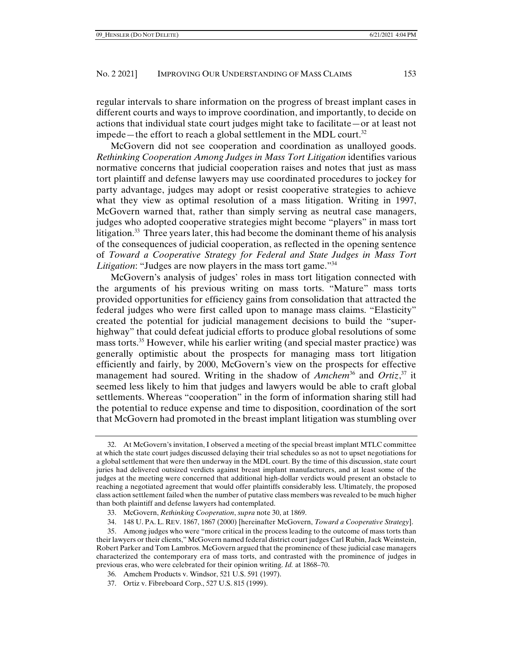regular intervals to share information on the progress of breast implant cases in different courts and ways to improve coordination, and importantly, to decide on actions that individual state court judges might take to facilitate—or at least not impede—the effort to reach a global settlement in the MDL court.<sup>32</sup>

McGovern did not see cooperation and coordination as unalloyed goods. *Rethinking Cooperation Among Judges in Mass Tort Litigation* identifies various normative concerns that judicial cooperation raises and notes that just as mass tort plaintiff and defense lawyers may use coordinated procedures to jockey for party advantage, judges may adopt or resist cooperative strategies to achieve what they view as optimal resolution of a mass litigation. Writing in 1997, McGovern warned that, rather than simply serving as neutral case managers, judges who adopted cooperative strategies might become "players" in mass tort litigation.33 Three years later, this had become the dominant theme of his analysis of the consequences of judicial cooperation, as reflected in the opening sentence of *Toward a Cooperative Strategy for Federal and State Judges in Mass Tort Litigation*: "Judges are now players in the mass tort game."34

McGovern's analysis of judges' roles in mass tort litigation connected with the arguments of his previous writing on mass torts. "Mature" mass torts provided opportunities for efficiency gains from consolidation that attracted the federal judges who were first called upon to manage mass claims. "Elasticity" created the potential for judicial management decisions to build the "superhighway" that could defeat judicial efforts to produce global resolutions of some mass torts.35 However, while his earlier writing (and special master practice) was generally optimistic about the prospects for managing mass tort litigation efficiently and fairly, by 2000, McGovern's view on the prospects for effective management had soured. Writing in the shadow of *Amchem*<sup>36</sup> and *Ortiz*,<sup>37</sup> it seemed less likely to him that judges and lawyers would be able to craft global settlements. Whereas "cooperation" in the form of information sharing still had the potential to reduce expense and time to disposition, coordination of the sort that McGovern had promoted in the breast implant litigation was stumbling over

- 33. McGovern, *Rethinking Cooperation*, *supra* note 30, at 1869.
- 34. 148 U. PA. L. REV. 1867, 1867 (2000) [hereinafter McGovern, *Toward a Cooperative Strategy*].

- 36. Amchem Products v. Windsor, 521 U.S. 591 (1997).
- 37. Ortiz v. Fibreboard Corp., 527 U.S. 815 (1999).

 <sup>32.</sup> At McGovern's invitation, I observed a meeting of the special breast implant MTLC committee at which the state court judges discussed delaying their trial schedules so as not to upset negotiations for a global settlement that were then underway in the MDL court. By the time of this discussion, state court juries had delivered outsized verdicts against breast implant manufacturers, and at least some of the judges at the meeting were concerned that additional high-dollar verdicts would present an obstacle to reaching a negotiated agreement that would offer plaintiffs considerably less. Ultimately, the proposed class action settlement failed when the number of putative class members was revealed to be much higher than both plaintiff and defense lawyers had contemplated.

 <sup>35.</sup> Among judges who were "more critical in the process leading to the outcome of mass torts than their lawyers or their clients," McGovern named federal district court judges Carl Rubin, Jack Weinstein, Robert Parker and Tom Lambros. McGovern argued that the prominence of these judicial case managers characterized the contemporary era of mass torts, and contrasted with the prominence of judges in previous eras, who were celebrated for their opinion writing. *Id.* at 1868–70.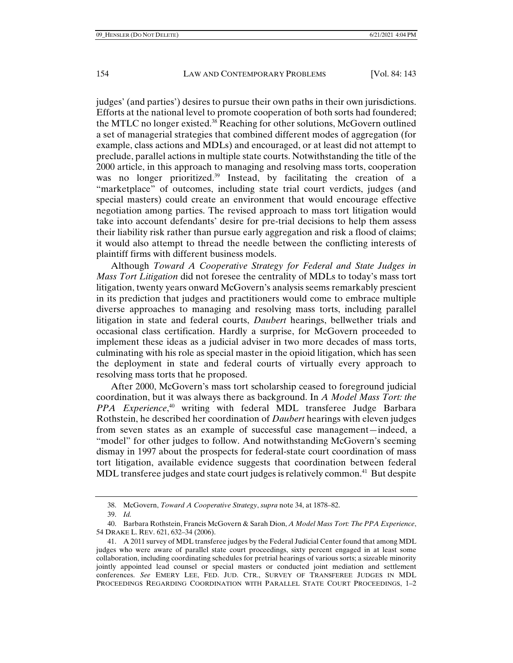judges' (and parties') desires to pursue their own paths in their own jurisdictions. Efforts at the national level to promote cooperation of both sorts had foundered; the MTLC no longer existed.<sup>38</sup> Reaching for other solutions, McGovern outlined a set of managerial strategies that combined different modes of aggregation (for example, class actions and MDLs) and encouraged, or at least did not attempt to preclude, parallel actions in multiple state courts. Notwithstanding the title of the 2000 article, in this approach to managing and resolving mass torts, cooperation was no longer prioritized.<sup>39</sup> Instead, by facilitating the creation of a "marketplace" of outcomes, including state trial court verdicts, judges (and special masters) could create an environment that would encourage effective negotiation among parties. The revised approach to mass tort litigation would take into account defendants' desire for pre-trial decisions to help them assess their liability risk rather than pursue early aggregation and risk a flood of claims; it would also attempt to thread the needle between the conflicting interests of plaintiff firms with different business models.

Although *Toward A Cooperative Strategy for Federal and State Judges in Mass Tort Litigation* did not foresee the centrality of MDLs to today's mass tort litigation, twenty years onward McGovern's analysis seems remarkably prescient in its prediction that judges and practitioners would come to embrace multiple diverse approaches to managing and resolving mass torts, including parallel litigation in state and federal courts, *Daubert* hearings, bellwether trials and occasional class certification. Hardly a surprise, for McGovern proceeded to implement these ideas as a judicial adviser in two more decades of mass torts, culminating with his role as special master in the opioid litigation, which has seen the deployment in state and federal courts of virtually every approach to resolving mass torts that he proposed.

After 2000, McGovern's mass tort scholarship ceased to foreground judicial coordination, but it was always there as background. In *A Model Mass Tort: the PPA Experience*, 40 writing with federal MDL transferee Judge Barbara Rothstein, he described her coordination of *Daubert* hearings with eleven judges from seven states as an example of successful case management—indeed, a "model" for other judges to follow. And notwithstanding McGovern's seeming dismay in 1997 about the prospects for federal-state court coordination of mass tort litigation, available evidence suggests that coordination between federal MDL transferee judges and state court judges is relatively common.<sup>41</sup> But despite

 <sup>38.</sup> McGovern, *Toward A Cooperative Strategy*, *supra* note 34, at 1878–82.

 <sup>39.</sup> *Id.* 

 <sup>40.</sup> Barbara Rothstein, Francis McGovern & Sarah Dion, *A Model Mass Tort: The PPA Experience*, 54 DRAKE L. REV. 621, 632–34 (2006).

 <sup>41.</sup> A 2011 survey of MDL transferee judges by the Federal Judicial Center found that among MDL judges who were aware of parallel state court proceedings, sixty percent engaged in at least some collaboration, including coordinating schedules for pretrial hearings of various sorts; a sizeable minority jointly appointed lead counsel or special masters or conducted joint mediation and settlement conferences. *See* EMERY LEE, FED. JUD. CTR., SURVEY OF TRANSFEREE JUDGES IN MDL PROCEEDINGS REGARDING COORDINATION WITH PARALLEL STATE COURT PROCEEDINGS, 1–2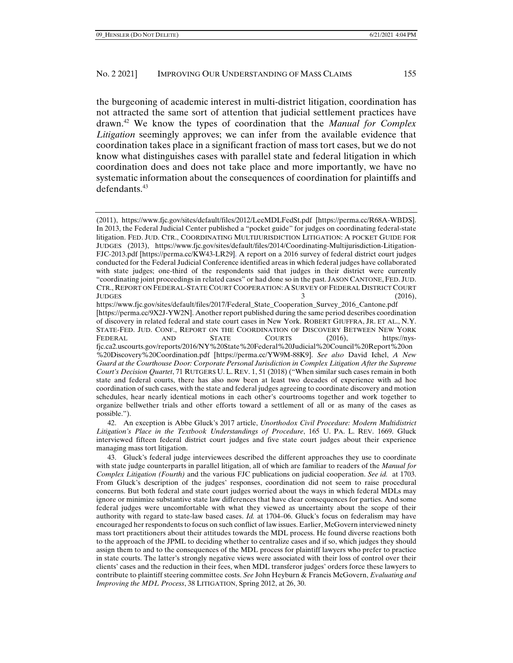the burgeoning of academic interest in multi-district litigation, coordination has not attracted the same sort of attention that judicial settlement practices have drawn.42 We know the types of coordination that the *Manual for Complex Litigation* seemingly approves; we can infer from the available evidence that coordination takes place in a significant fraction of mass tort cases, but we do not know what distinguishes cases with parallel state and federal litigation in which coordination does and does not take place and more importantly, we have no systematic information about the consequences of coordination for plaintiffs and defendants.<sup>43</sup>

https://www.fjc.gov/sites/default/files/2017/Federal\_State\_Cooperation\_Survey\_2016\_Cantone.pdf [https://perma.cc/9X2J-YW2N]. Another report published during the same period describes coordination of discovery in related federal and state court cases in New York. ROBERT GIUFFRA, JR. ET AL., N.Y. STATE-FED. JUD. CONF., REPORT ON THE COORDINATION OF DISCOVERY BETWEEN NEW YORK FEDERAL AND STATE COURTS (2016), https://nysfjc.ca2.uscourts.gov/reports/2016/NY%20State%20Federal%20Judicial%20Council%20Report%20on %20Discovery%20Coordination.pdf [https://perma.cc/YW9M-88K9]. *See also* David Ichel, *A New Guard at the Courthouse Door: Corporate Personal Jurisdiction in Complex Litigation After the Supreme Court's Decision Quartet*, 71 RUTGERS U. L. REV. 1, 51 (2018) ("When similar such cases remain in both state and federal courts, there has also now been at least two decades of experience with ad hoc coordination of such cases, with the state and federal judges agreeing to coordinate discovery and motion schedules, hear nearly identical motions in each other's courtrooms together and work together to organize bellwether trials and other efforts toward a settlement of all or as many of the cases as possible.").

 42. An exception is Abbe Gluck's 2017 article, *Unorthodox Civil Procedure: Modern Multidistrict Litigation's Place in the Textbook Understandings of Procedure*, 165 U. PA. L. REV. 1669. Gluck interviewed fifteen federal district court judges and five state court judges about their experience managing mass tort litigation.

 43. Gluck's federal judge interviewees described the different approaches they use to coordinate with state judge counterparts in parallel litigation, all of which are familiar to readers of the *Manual for Complex Litigation (Fourth)* and the various FJC publications on judicial cooperation. *See id.* at 1703. From Gluck's description of the judges' responses, coordination did not seem to raise procedural concerns. But both federal and state court judges worried about the ways in which federal MDLs may ignore or minimize substantive state law differences that have clear consequences for parties. And some federal judges were uncomfortable with what they viewed as uncertainty about the scope of their authority with regard to state-law based cases. *Id.* at 1704–06. Gluck's focus on federalism may have encouraged her respondents to focus on such conflict of law issues. Earlier, McGovern interviewed ninety mass tort practitioners about their attitudes towards the MDL process. He found diverse reactions both to the approach of the JPML to deciding whether to centralize cases and if so, which judges they should assign them to and to the consequences of the MDL process for plaintiff lawyers who prefer to practice in state courts. The latter's strongly negative views were associated with their loss of control over their clients' cases and the reduction in their fees, when MDL transferor judges' orders force these lawyers to contribute to plaintiff steering committee costs. *See* John Heyburn & Francis McGovern, *Evaluating and Improving the MDL Process*, 38 LITIGATION, Spring 2012, at 26, 30.

<sup>(2011),</sup> https://www.fjc.gov/sites/default/files/2012/LeeMDLFedSt.pdf [https://perma.cc/R68A-WBDS]. In 2013, the Federal Judicial Center published a "pocket guide" for judges on coordinating federal-state litigation. FED. JUD. CTR., COORDINATING MULTIJURISDICTION LITIGATION: A POCKET GUIDE FOR JUDGES (2013), https://www.fjc.gov/sites/default/files/2014/Coordinating-Multijurisdiction-Litigation-FJC-2013.pdf [https://perma.cc/KW43-LR29]. A report on a 2016 survey of federal district court judges conducted for the Federal Judicial Conference identified areas in which federal judges have collaborated with state judges; one-third of the respondents said that judges in their district were currently "coordinating joint proceedings in related cases" or had done so in the past. JASON CANTONE, FED. JUD. CTR., REPORT ON FEDERAL-STATE COURT COOPERATION: A SURVEY OF FEDERAL DISTRICT COURT JUDGES  $\qquad \qquad 3 \qquad \qquad (2016),$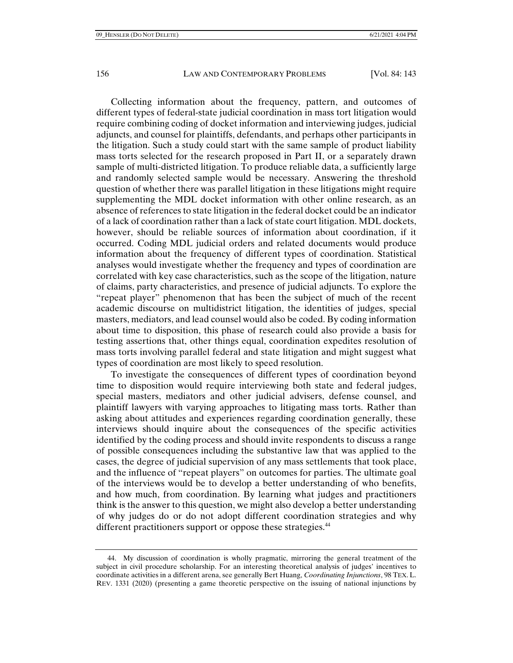Collecting information about the frequency, pattern, and outcomes of different types of federal-state judicial coordination in mass tort litigation would require combining coding of docket information and interviewing judges, judicial adjuncts, and counsel for plaintiffs, defendants, and perhaps other participants in the litigation. Such a study could start with the same sample of product liability mass torts selected for the research proposed in Part II, or a separately drawn sample of multi-districted litigation. To produce reliable data, a sufficiently large and randomly selected sample would be necessary. Answering the threshold question of whether there was parallel litigation in these litigations might require supplementing the MDL docket information with other online research, as an absence of references to state litigation in the federal docket could be an indicator of a lack of coordination rather than a lack of state court litigation. MDL dockets, however, should be reliable sources of information about coordination, if it occurred. Coding MDL judicial orders and related documents would produce information about the frequency of different types of coordination. Statistical analyses would investigate whether the frequency and types of coordination are correlated with key case characteristics, such as the scope of the litigation, nature of claims, party characteristics, and presence of judicial adjuncts. To explore the "repeat player" phenomenon that has been the subject of much of the recent academic discourse on multidistrict litigation, the identities of judges, special masters, mediators, and lead counsel would also be coded. By coding information about time to disposition, this phase of research could also provide a basis for testing assertions that, other things equal, coordination expedites resolution of mass torts involving parallel federal and state litigation and might suggest what types of coordination are most likely to speed resolution.

To investigate the consequences of different types of coordination beyond time to disposition would require interviewing both state and federal judges, special masters, mediators and other judicial advisers, defense counsel, and plaintiff lawyers with varying approaches to litigating mass torts. Rather than asking about attitudes and experiences regarding coordination generally, these interviews should inquire about the consequences of the specific activities identified by the coding process and should invite respondents to discuss a range of possible consequences including the substantive law that was applied to the cases, the degree of judicial supervision of any mass settlements that took place, and the influence of "repeat players" on outcomes for parties. The ultimate goal of the interviews would be to develop a better understanding of who benefits, and how much, from coordination. By learning what judges and practitioners think is the answer to this question, we might also develop a better understanding of why judges do or do not adopt different coordination strategies and why different practitioners support or oppose these strategies.<sup>44</sup>

 <sup>44.</sup> My discussion of coordination is wholly pragmatic, mirroring the general treatment of the subject in civil procedure scholarship. For an interesting theoretical analysis of judges' incentives to coordinate activities in a different arena, see generally Bert Huang, *Coordinating Injunctions*, 98 TEX. L. REV. 1331 (2020) (presenting a game theoretic perspective on the issuing of national injunctions by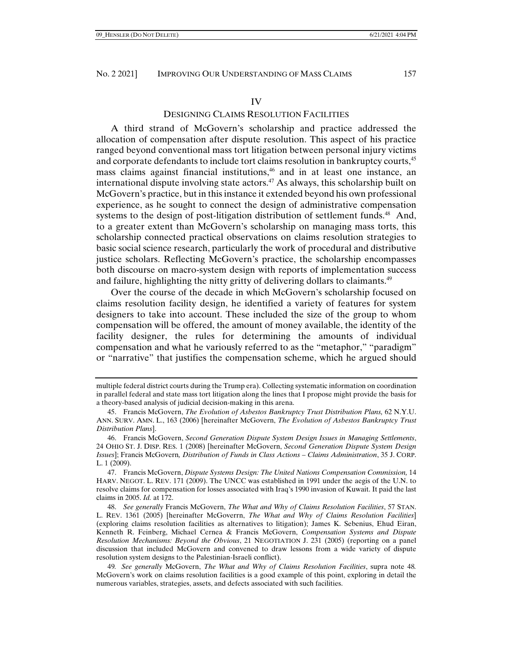#### IV

# DESIGNING CLAIMS RESOLUTION FACILITIES

A third strand of McGovern's scholarship and practice addressed the allocation of compensation after dispute resolution. This aspect of his practice ranged beyond conventional mass tort litigation between personal injury victims and corporate defendants to include tort claims resolution in bankruptcy courts, $4<sup>5</sup>$ mass claims against financial institutions,<sup>46</sup> and in at least one instance, an international dispute involving state actors.<sup>47</sup> As always, this scholarship built on McGovern's practice, but in this instance it extended beyond his own professional experience, as he sought to connect the design of administrative compensation systems to the design of post-litigation distribution of settlement funds. $48$  And, to a greater extent than McGovern's scholarship on managing mass torts, this scholarship connected practical observations on claims resolution strategies to basic social science research, particularly the work of procedural and distributive justice scholars. Reflecting McGovern's practice, the scholarship encompasses both discourse on macro-system design with reports of implementation success and failure, highlighting the nitty gritty of delivering dollars to claimants.<sup>49</sup>

Over the course of the decade in which McGovern's scholarship focused on claims resolution facility design, he identified a variety of features for system designers to take into account. These included the size of the group to whom compensation will be offered, the amount of money available, the identity of the facility designer, the rules for determining the amounts of individual compensation and what he variously referred to as the "metaphor," "paradigm" or "narrative" that justifies the compensation scheme, which he argued should

multiple federal district courts during the Trump era). Collecting systematic information on coordination in parallel federal and state mass tort litigation along the lines that I propose might provide the basis for a theory-based analysis of judicial decision-making in this arena.

 <sup>45.</sup> Francis McGovern, *The Evolution of Asbestos Bankruptcy Trust Distribution Plans,* 62 N.Y.U. ANN. SURV. AMN. L., 163 (2006) [hereinafter McGovern, *The Evolution of Asbestos Bankruptcy Trust Distribution Plans*].

 <sup>46.</sup> Francis McGovern, *Second Generation Dispute System Design Issues in Managing Settlements*, 24 OHIO ST. J. DISP. RES. 1 (2008) [hereinafter McGovern, *Second Generation Dispute System Design Issues*]; Francis McGovern*, Distribution of Funds in Class Actions – Claims Administration*, 35 J. CORP. L. 1 (2009).

 <sup>47.</sup> Francis McGovern, *Dispute Systems Design: The United Nations Compensation Commission,* 14 HARV. NEGOT. L. REV. 171 (2009). The UNCC was established in 1991 under the aegis of the U.N. to resolve claims for compensation for losses associated with Iraq's 1990 invasion of Kuwait. It paid the last claims in 2005. *Id.* at 172.

 <sup>48.</sup> *See generally* Francis McGovern, *The What and Why of Claims Resolution Facilities*, 57 STAN. L. REV. 1361 (2005) [hereinafter McGoverrn, *The What and Why of Claims Resolution Facilities*] (exploring claims resolution facilities as alternatives to litigation); James K. Sebenius, Ehud Eiran, Kenneth R. Feinberg, Michael Cernea & Francis McGovern, *Compensation Systems and Dispute Resolution Mechanisms: Beyond the Obvious*, 21 NEGOTIATION J. 231 (2005) (reporting on a panel discussion that included McGovern and convened to draw lessons from a wide variety of dispute resolution system designs to the Palestinian-Israeli conflict).

<sup>49</sup>*. See generally* McGovern, *The What and Why of Claims Resolution Facilities*, supra note 48*.*  McGovern's work on claims resolution facilities is a good example of this point, exploring in detail the numerous variables, strategies, assets, and defects associated with such facilities.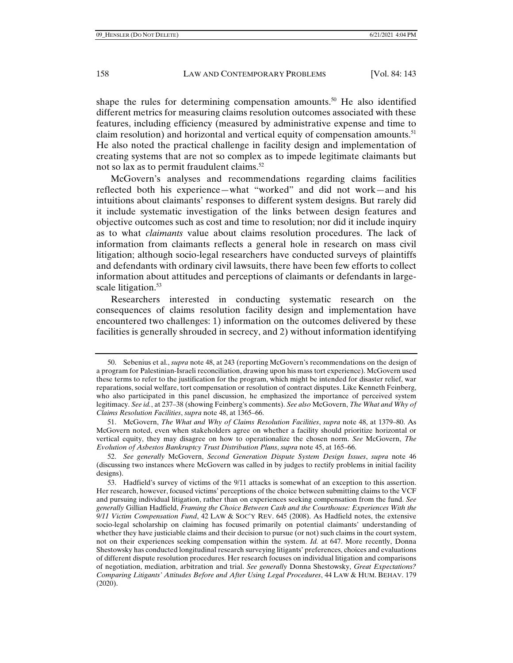shape the rules for determining compensation amounts.<sup>50</sup> He also identified different metrics for measuring claims resolution outcomes associated with these features, including efficiency (measured by administrative expense and time to claim resolution) and horizontal and vertical equity of compensation amounts.<sup>51</sup> He also noted the practical challenge in facility design and implementation of creating systems that are not so complex as to impede legitimate claimants but not so lax as to permit fraudulent claims.<sup>52</sup>

McGovern's analyses and recommendations regarding claims facilities reflected both his experience—what "worked" and did not work—and his intuitions about claimants' responses to different system designs. But rarely did it include systematic investigation of the links between design features and objective outcomes such as cost and time to resolution; nor did it include inquiry as to what *claimants* value about claims resolution procedures. The lack of information from claimants reflects a general hole in research on mass civil litigation; although socio-legal researchers have conducted surveys of plaintiffs and defendants with ordinary civil lawsuits, there have been few efforts to collect information about attitudes and perceptions of claimants or defendants in largescale litigation.<sup>53</sup>

Researchers interested in conducting systematic research on the consequences of claims resolution facility design and implementation have encountered two challenges: 1) information on the outcomes delivered by these facilities is generally shrouded in secrecy, and 2) without information identifying

 <sup>50.</sup> Sebenius et al., *supra* note 48, at 243 (reporting McGovern's recommendations on the design of a program for Palestinian-Israeli reconciliation, drawing upon his mass tort experience). McGovern used these terms to refer to the justification for the program, which might be intended for disaster relief, war reparations, social welfare, tort compensation or resolution of contract disputes. Like Kenneth Feinberg, who also participated in this panel discussion, he emphasized the importance of perceived system legitimacy. *See id.*, at 237–38 (showing Feinberg's comments). *See also* McGovern, *The What and Why of Claims Resolution Facilities*, *supra* note 48, at 1365–66.

 <sup>51.</sup> McGovern, *The What and Why of Claims Resolution Facilities*, *supra* note 48, at 1379–80. As McGovern noted, even when stakeholders agree on whether a facility should prioritize horizontal or vertical equity, they may disagree on how to operationalize the chosen norm. *See* McGovern, *The Evolution of Asbestos Bankruptcy Trust Distribution Plans*, *supra* note 45, at 165–66.

 <sup>52.</sup> *See generally* McGovern, *Second Generation Dispute System Design Issues*, *supra* note 46 (discussing two instances where McGovern was called in by judges to rectify problems in initial facility designs).

 <sup>53.</sup> Hadfield's survey of victims of the 9/11 attacks is somewhat of an exception to this assertion. Her research, however, focused victims' perceptions of the choice between submitting claims to the VCF and pursuing individual litigation, rather than on experiences seeking compensation from the fund. *See generally* Gillian Hadfield, *Framing the Choice Between Cash and the Courthouse: Experiences With the 9/11 Victim Compensation Fund*, 42 LAW & SOC'Y REV. 645 (2008). As Hadfield notes, the extensive socio-legal scholarship on claiming has focused primarily on potential claimants' understanding of whether they have justiciable claims and their decision to pursue (or not) such claims in the court system, not on their experiences seeking compensation within the system. *Id.* at 647. More recently, Donna Shestowsky has conducted longitudinal research surveying litigants' preferences, choices and evaluations of different dispute resolution procedures. Her research focuses on individual litigation and comparisons of negotiation, mediation, arbitration and trial. *See generally* Donna Shestowsky, *Great Expectations? Comparing Litigants' Attitudes Before and After Using Legal Procedures*, 44 LAW & HUM. BEHAV. 179 (2020).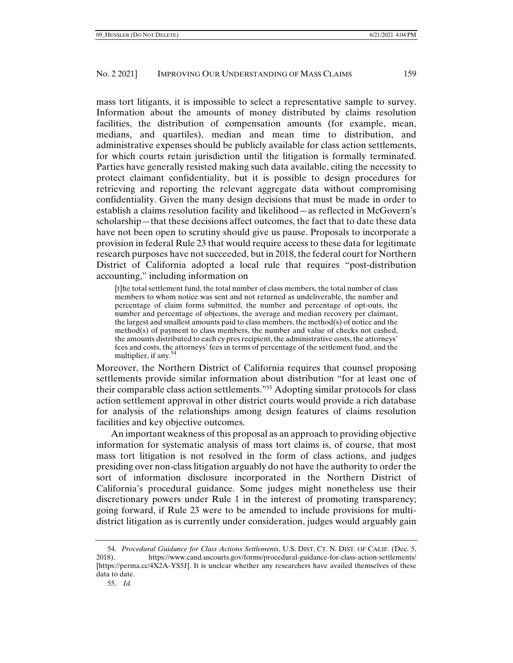mass tort litigants, it is impossible to select a representative sample to survey. Information about the amounts of money distributed by claims resolution facilities, the distribution of compensation amounts (for example, mean, medians, and quartiles), median and mean time to distribution, and administrative expenses should be publicly available for class action settlements, for which courts retain jurisdiction until the litigation is formally terminated. Parties have generally resisted making such data available, citing the necessity to protect claimant confidentiality, but it is possible to design procedures for retrieving and reporting the relevant aggregate data without compromising confidentiality. Given the many design decisions that must be made in order to establish a claims resolution facility and likelihood—as reflected in McGovern's scholarship—that these decisions affect outcomes, the fact that to date these data have not been open to scrutiny should give us pause. Proposals to incorporate a provision in federal Rule 23 that would require access to these data for legitimate research purposes have not succeeded, but in 2018, the federal court for Northern District of California adopted a local rule that requires "post-distribution accounting," including information on

[t]he total settlement fund, the total number of class members, the total number of class members to whom notice was sent and not returned as undeliverable, the number and percentage of claim forms submitted, the number and percentage of opt-outs, the number and percentage of objections, the average and median recovery per claimant, the largest and smallest amounts paid to class members, the method(s) of notice and the method(s) of payment to class members, the number and value of checks not cashed, the amounts distributed to each cy pres recipient, the administrative costs, the attorneys' fees and costs, the attorneys' fees in terms of percentage of the settlement fund, and the multiplier, if any.<sup>54</sup>

Moreover, the Northern District of California requires that counsel proposing settlements provide similar information about distribution "for at least one of their comparable class action settlements."55 Adopting similar protocols for class action settlement approval in other district courts would provide a rich database for analysis of the relationships among design features of claims resolution facilities and key objective outcomes.

An important weakness of this proposal as an approach to providing objective information for systematic analysis of mass tort claims is, of course, that most mass tort litigation is not resolved in the form of class actions, and judges presiding over non-class litigation arguably do not have the authority to order the sort of information disclosure incorporated in the Northern District of California's procedural guidance. Some judges might nonetheless use their discretionary powers under Rule 1 in the interest of promoting transparency; going forward, if Rule 23 were to be amended to include provisions for multidistrict litigation as is currently under consideration, judges would arguably gain

 <sup>54.</sup> *Procedural Guidance for Class Actions Settlements*, U.S. DIST. CT. N. DIST. OF CALIF. (Dec. 5, 2018), https://www.cand.uscourts.gov/forms/procedural-guidance-for-class-action-settlements/ [https://perma.cc/4X2A-YS5J]. It is unclear whether any researchers have availed themselves of these data to date.

 <sup>55.</sup> *Id.*